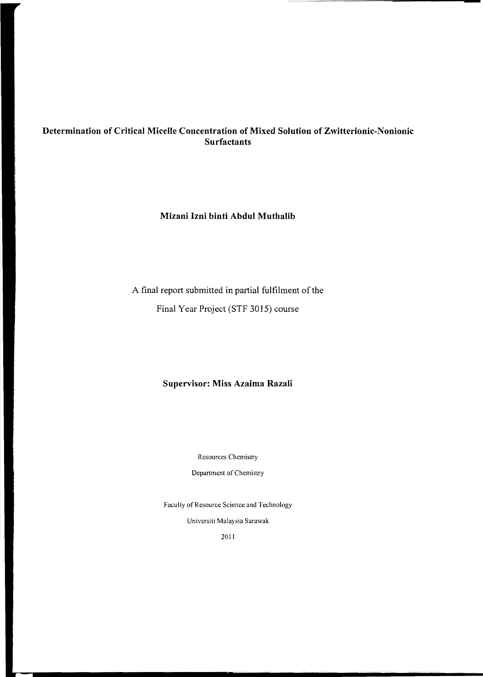# **Determination of Critical Micelle Concentration of Mixed Solution of Zwitterionic-Nonionic Surfactants**

# **Mizani Izni binti Abdul Muthalib**

# A final report submitted in partial fulfilment of the Final Year Project (STF 3015) course

# **Supervisor: Miss Azaima Razali**

Resources Chemistry

Department of Chemistry

Faculty of Resource Science and Technology

Universiti Malaysia Sarawak

2011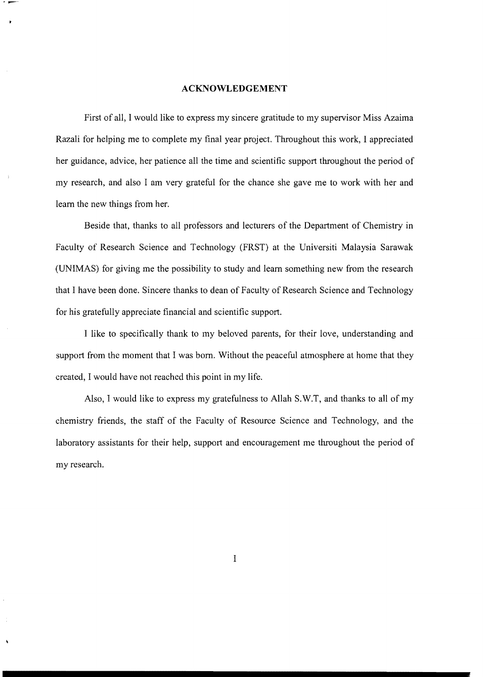#### **ACKNOWLEDGEMENT**

First of all, I would like to express my sincere gratitude to my supervisor Miss Azaima Razali for helping me to complete my final year project. Throughout this work, I appreciated her guidance, advice, her patience all the time and scientific support throughout the period of my research, and also I am very grateful for the chance she gave me to work with her and learn the new things from her.

Beside that, thanks to all professors and lecturers of the Department of Chemistry in Faculty of Research Science and Technology (FRST) at the Universiti Malaysia Sarawak (UNIMAS) for giving me the possibility to study and learn something new from the research that I have been done. Sincere thanks to dean of Faculty of Research Science and Technology for his gratefully appreciate financial and scientific support.

I like to specifically thank to my beloved parents, for their love, understanding and support from the moment that I was born. Without the peaceful atmosphere at home that they created, I would have not reached this point in my life.

Also, I would like to express my gratefulness to Allah S.W.T, and thanks to all of my chemistry friends, the staff of the Faculty of Resource Science and Technology, and the laboratory assistants for their help, support and encouragement me throughout the period of my research.

I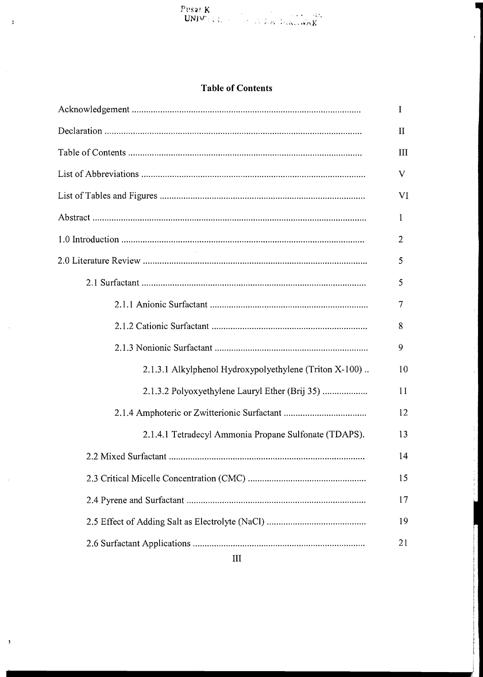|  | <b>Table of Contents</b> |
|--|--------------------------|
|--|--------------------------|

|                                                        | L            |
|--------------------------------------------------------|--------------|
|                                                        | $\mathbf{I}$ |
|                                                        | Ш            |
|                                                        | V            |
|                                                        | VI           |
|                                                        | 1            |
|                                                        | 2            |
|                                                        | 5            |
|                                                        | 5            |
|                                                        | 7            |
|                                                        | 8            |
|                                                        | 9            |
| 2.1.3.1 Alkylphenol Hydroxypolyethylene (Triton X-100) | 10           |
| 2.1.3.2 Polyoxyethylene Lauryl Ether (Brij 35)         | 11           |
|                                                        | 12           |
| 2.1.4.1 Tetradecyl Ammonia Propane Sulfonate (TDAPS).  | 13           |
|                                                        | 14           |
|                                                        | 15           |
|                                                        | 17           |
|                                                        | 19           |
|                                                        | 21           |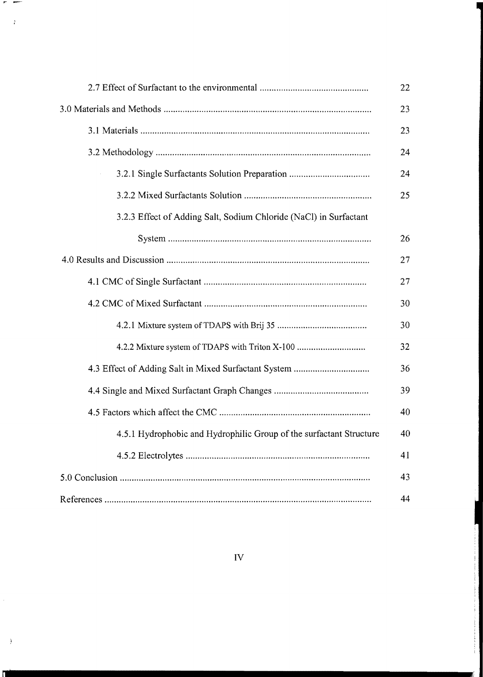|                                                                     | 24 |
|---------------------------------------------------------------------|----|
| 3.2.1 Single Surfactants Solution Preparation                       | 24 |
|                                                                     |    |
| 3.2.3 Effect of Adding Salt, Sodium Chloride (NaCl) in Surfactant   |    |
|                                                                     | 26 |
|                                                                     | 27 |
|                                                                     |    |
|                                                                     |    |
|                                                                     | 30 |
| 4.2.2 Mixture system of TDAPS with Triton X-100                     | 32 |
|                                                                     |    |
|                                                                     |    |
|                                                                     | 40 |
| 4.5.1 Hydrophobic and Hydrophilic Group of the surfactant Structure | 40 |
|                                                                     | 41 |
|                                                                     | 43 |
|                                                                     | 44 |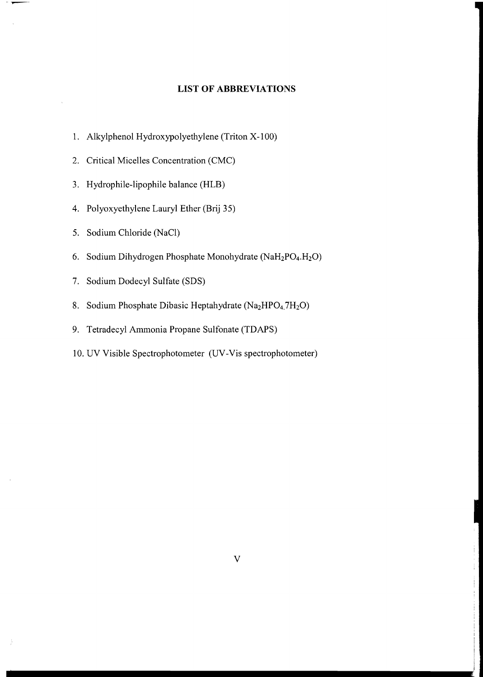# **LIST OF ABBREVIATIONS**

- 1. Alkylphenol Hydroxypolyethylene (Triton X-100)
- 2. Critical Micelles Concentration (CMC)
- 3. Hydrophile-lipophile balance (HLB)
- 4. Polyoxyethylene Lauryl Ether (Brij 35)
- 5. Sodium Chloride (NaCI)
- 6. Sodium Dihydrogen Phosphate Monohydrate (NaH<sub>2</sub>PO<sub>4</sub>.H<sub>2</sub>O)
- 7. Sodium Dodecyl Sulfate (SDS)
- 8. Sodium Phosphate Dibasic Heptahydrate (Na<sub>2</sub>HPO<sub>4.</sub>7H<sub>2</sub>O)
- 9. Tetradecyl Ammonia Propane Sulfonate (TDAPS)
- 10. UV Visible Spectrophotometer (UV -Vis spectrophotometer)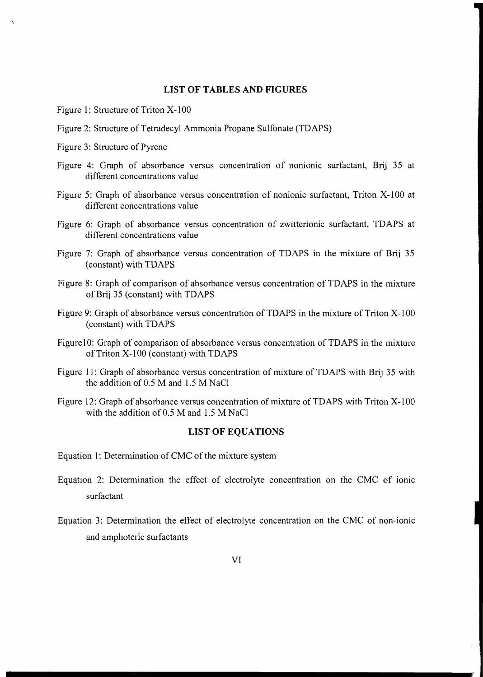## **LIST OF TABLES AND FIGURES**

- Figure 1: Structure of Triton X-100
- Figure 2: Structure of Tetradecyl Ammonia Propane Sulfonate (TDAPS)
- Figure 3: Structure of Pyrene
- Figure 4: Graph of absorbance versus concentration of nonionic surfactant, Brij 35 at different concentrations value
- Figure 5: Graph of absorbance versus concentration of nonionic surfactant, Triton X-IOO at different concentrations value
- Figure 6: Graph of absorbance versus concentration of zwitterionic surfactant, TDAPS at different concentrations value
- Figure 7: Graph of absorbance versus concentration of TDAPS in the mixture of Brij 35 (constant) with TDAPS
- Figure 8: Graph of comparison of absorbance versus concentration of TDAPS in the mixture ofBrij 35 (constant) with TDAPS
- Figure 9: Graph of absorbance versus concentration of TDAPS in the mixture of Triton X-100 (constant) with TDAPS
- Figure 10: Graph of comparison of absorbance versus concentration of TDAPS in the mixture of Triton X-100 (constant) with TDAPS
- Figure 11: Graph of absorbance versus concentration of mixture of TDAPS with Brij 35 with the addition of 0.5 M and 1.5 M NaCI
- Figure 12: Graph of absorbance versus concentration of mixture of TDAPS with Triton X-100 with the addition of  $0.5$  M and  $1.5$  M NaCl

#### **LIST OF EQUATIONS**

- Equation 1: Determination of CMC of the mixture system
- Equation 2: Determination the effect of electrolyte concentration on the CMC of ionic surfactant
- Equation 3: Determination the effect of electrolyte concentration on the CMC of non-ionic and amphoteric surfactants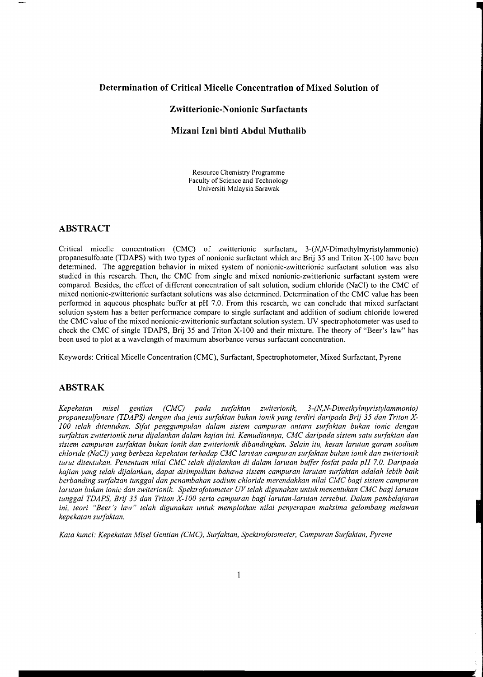# **Determination of Critical Micelle Concentration of Mixed Solution of**

## **Zwitterionic-Nonionic Surfactants**

## **Mizani Izni binti Abdul Muthalib**

Resource Chemistry Programme Faculty of Science and Technology Universiti Malaysia Sarawak

## **ABSTRACT**

Critical micelle concentration (CMC) of zwitterionic surfactant, 3-(N,N-Dimethylmyristylammonio) propanesulfonate (TDAPS) with two types of nonionic surfactant which are Brij 35 and Triton X-100 have been detennined. The aggregation behavior in mixed system of nonionic-zwitterionic surfactant solution was also studied in this research. Then, the CMC from single and mixed nonionic-zwitterionic surfactant system were compared. Besides, the effect of different concentration of salt solution, sodium chloride (NaCl) to the CMC of mixed nonionic-zwitterionic surfactant solutions was also detennined. Detennination of the CMC value has been perfonned in aqueous phosphate buffer at pH 7.0. From this research, we can conclude that mixed surfactant solution system has a better perfonnance compare to single surfactant and addition of sodium chloride lowered the CMC value of the mixed nonionic-zwitterionic surfactant solution system. UV spectrophotometer was used to check the CMC of single TDAPS, Brij 35 and Triton X-IOO and their mixture. The theory of "Beer's law" has been used to plot at a wavelength of maximum absorbance versus surfactant concentration.

Keywords: Critical Micelle Concentration (CMC), Surfactant, Spectrophotometer, Mixed Surfactant, Pyrene

# **ABSTRAK**

*Kepekatan misel gentian (CMC) pada surfaktan zwiterionik, 3-(N,N-Dimethylmyristylammonio) propanesulfonate (TDAPS) dengan dua jenis sltrfaktan bukan ionik yang terdiri daripada Brij* 35 *dan Triton XlOO telah ditentukan. Sifat penggumpulan dalam sistem campuran antara surfaktan bukan ionic dengan surfaktan zwiterionik tunt! dijalankan dalam kajian ini. Kemudiannya, CMC daripada sistem satu surfaktan dan sistem campuran surfaktan bukan ionik dan zwiterionik dibandingkan. Selain itu, kesan lamtan garam sodium chloride (NaCl) yang berbeza kepekatan terhadap CMC lamtan campuran surfaktan bukan ionik dan zwiterionik tumt ditentukan. Penentuan nilai CMC telah dijalankan di dalam larutan buffer fosfat pada pH 7.0. Daripada kajian yang telah dijalankan, dapat disimpulkan bahawa sistem campuran larutan surfaktan adalah lebih baik berbanding surfaktan tunggal dan penambahan sodium chloride merendahkan nilai CMC bagi sistem campuran larutan bukan ionic dan zwiterionik. Spektrofotometer UV telah digunakan untuk menentukan CMC bagi larutan tunggal TDAPS, Brij* 35 *dan Triton X-lOO serta campuran bagi larutan-larutan tersebut. Dalam pembelajaran ini, teori "Beer's law" telah digunakan untuk memplotkan nilai penyerapan maksima gelombang melawan kepekatan surfaktan.* 

*Kata kunci: Kepekatan Misel Gentian (CMC), Surfaktan, Spektrofotometer, Campuran Surfaktan, Pyrene*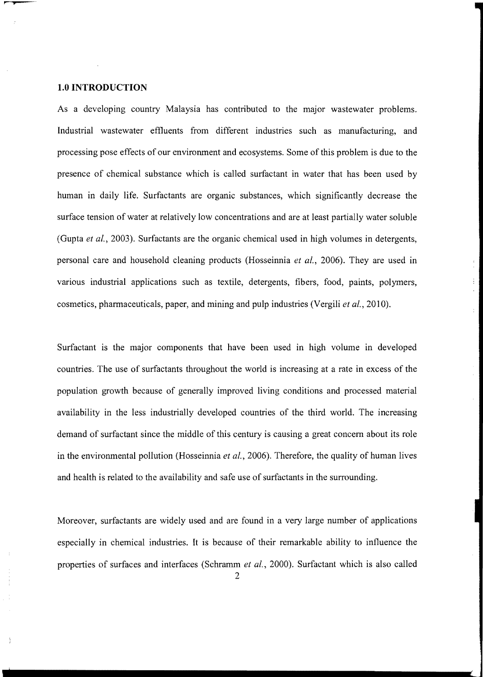#### **1.0 INTRODUCTION**

As a developing country Malaysia has contributed to the major wastewater problems. Industrial wastewater effluents from different industries such as manufacturing, and processing pose effects of our environment and ecosystems. Some of this problem is due to the presence of chemical substance which is called surfactant in water that has been used by human in daily life. Surfactants are organic substances, which significantly decrease the surface tension of water at relatively low concentrations and are at least partially water soluble (Gupta *et at.,* 2003). Surfactants are the organic chemical used in high volumes in detergents, personal care and household cleaning products (Hosseinnia *et ai.,* 2006). They are used in various industrial applications such as textile, detergents, fibers, food, paints, polymers, cosmetics, pharmaceuticals, paper, and mining and pulp industries (Vergili *et ai.,* 2010).

Surfactant is the major components that have been used in high volume in developed countries. The use of surfactants throughout the world is increasing at a rate in excess of the population growth because of generally improved living conditions and processed material availability in the less industrially developed countries of the third world. The increasing demand of surfactant since the middle of this century is causing a great concern about its role in the environmental pollution (Hosseinnia *et ai.,* 2006). Therefore, the quality of human lives and health is related to the availability and safe use of surfactants in the surrounding.

Moreover, surfactants are widely used and are found in a very large number of applications especially in chemical industries. It is because of their remarkable ability to influence the properties of surfaces and interfaces (Schramm *et ai.,* 2000). Surfactant which is also called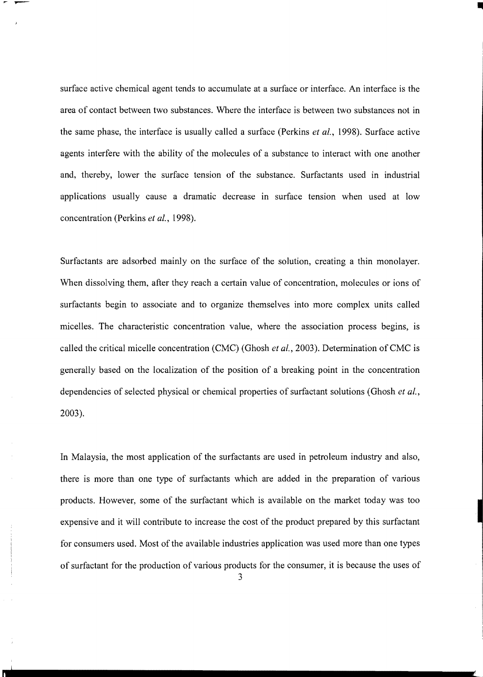surface active chemical agent tends to accumulate at a surface or interface. An interface is the area of contact between two substances. Where the interface is between two substances not in the same phase, the interface is usually called a surface (Perkins *et al.,* 1998). Surface active agents interfere with the ability of the molecules of a substance to interact with one another and, thereby, lower the surface tension of the substance. Surfactants used in industrial applications usually cause a dramatic decrease in surface tension when used at low concentration (Perkins *et* aI., 1998).

Surfactants are adsorbed mainly on the surface of the solution, creating a thin monolayer. When dissolving them, after they reach a certain value of concentration, molecules or ions of surfactants begin to associate and to organize themselves into more complex units called micelles. The characteristic concentration value, where the association process begins, is called the critical micelle concentration (CMC) (Ghosh *et ai.,* 2003). Determination ofCMC is generally based on the localization of the position of a breaking point in the concentration dependencies of selected physical or chemical properties of surfactant solutions (Ghosh *et ai.,*  2003).

In Malaysia, the most application of the surfactants are used in petroleum industry and also, there is more than one type of surfactants which are added in the preparation of various products. However, some of the surfactant which is available on the market today was too expensive and it will contribute to increase the cost of the product prepared by this surfactant for consumers used. Most of the available industries application was used more than one types of surfactant for the production of various products for the consumer, it is because the uses of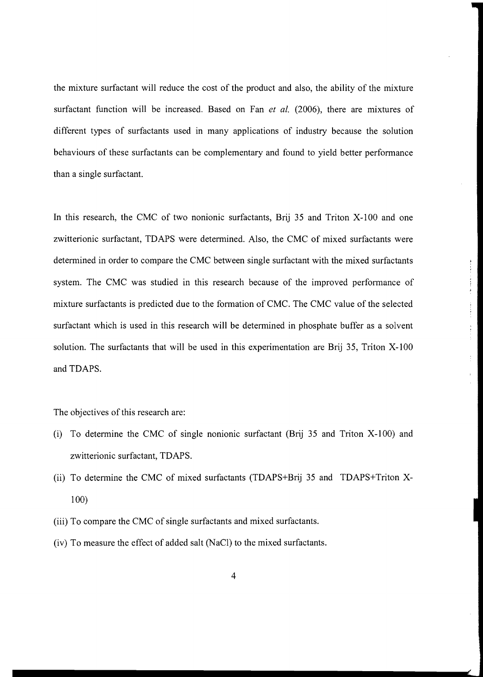the mixture surfactant will reduce the cost of the product and also, the ability of the mixture surfactant function will be increased. Based on Fan *et al.* (2006), there are mixtures of different types of surfactants used in many applications of industry because the solution behaviours of these surfactants can be complementary and found to yield better performance than a single surfactant.

In this research, the CMC of two nonionic surfactants, Brij 35 and Triton X-IOO and one zwitterionic surfactant, TDAPS were determined. Also, the CMC of mixed surfactants were determined in order to compare the CMC between single surfactant with the mixed surfactants system. The CMC was studied in this research because of the improved performance of mixture surfactants is predicted due to the formation of CMC. The CMC value of the selected surfactant which is used in this research will be determined in phosphate buffer as a solvent solution. The surfactants that will be used in this experimentation are Brij 35, Triton X-IOO and TDAPS.

The objectives of this research are:

- (i) To determine the CMC of single nonionic surfactant (Brij 35 and Triton  $X-100$ ) and zwitterionic surfactant, TDAPS.
- (ii) To determine the CMC of mixed surfactants (TDAPS+Brij 35 and TDAPS+Triton X-100)
- (iii) To compare the CMC of single surfactants and mixed surfactants.
- (iv) To measure the effect of added salt (NaCl) to the mixed surfactants.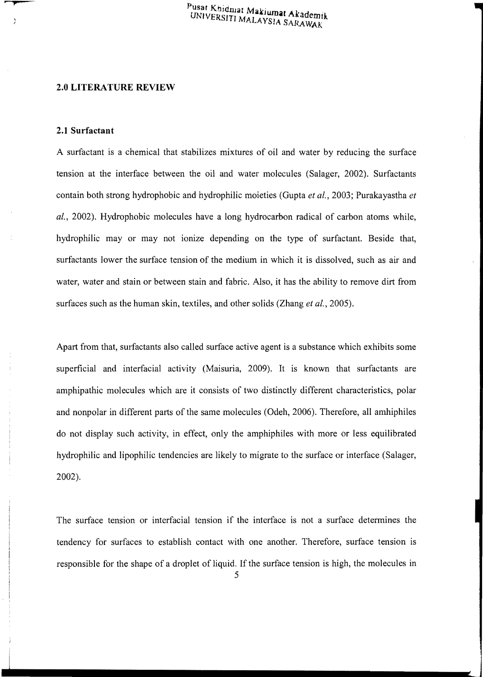#### **2.0 LITERATURE REVIEW**

#### **2.1 Surfactant**

A surfactant is a chemical that stabilizes mixtures of oil and water by reducing the surface tension at the interface between the oil and water molecules (Salager, 2002). Surfactants contain both strong hydrophobic and hydrophilic moieties (Gupta *et al.,* 2003; Purakayastha *et ai.,* 2002). Hydrophobic molecules have a long hydrocarbon radical of carbon atoms while, hydrophilic may or may not ionize depending on the type of surfactant. Beside that, surfactants lower the surface tension of the medium in which it is dissolved, such as air and water, water and stain or between stain and fabric. Also, it has the ability to remove dirt from surfaces such as the human skin, textiles, and other solids (Zhang *et al.,* 2005).

Apart from that, surfactants also called surface active agent is a substance which exhibits some superficial and interfacial activity (Maisuria, 2009). It is known that surfactants are amphipathic molecules which are it consists of two distinctly different characteristics, polar and nonpolar in different parts of the same molecules (Odeh, 2006). Therefore, all amhiphiles do not display such activity, in effect, only the amphiphiles with more or less equilibrated hydrophilic and lipophilic tendencies are likely to migrate to the surface or interface (Salager, 2002).

The surface tension or interfacial tension if the interface is not a surface determines the tendency for surfaces to establish contact with one another. Therefore, surface tension is responsible for the shape of a droplet of liquid. If the surface tension is high, the molecules in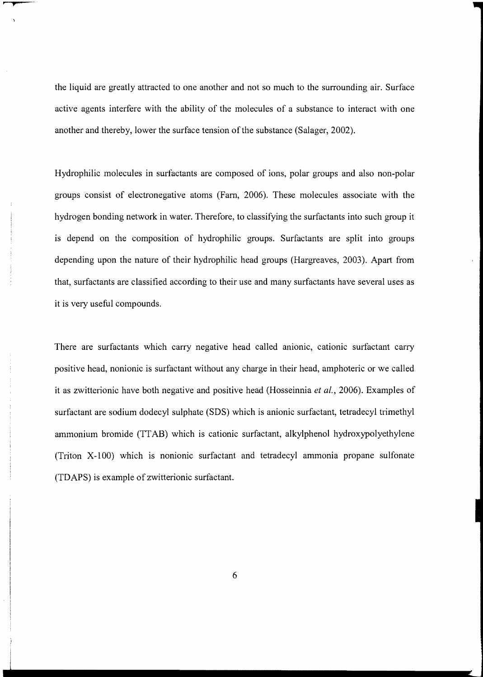the liquid are greatly attracted to one another and not so much to the surrounding air. Surface active agents interfere with the ability of the molecules of a substance to interact with one another and thereby, lower the surface tension of the substance (Salager, 2002).

Hydrophilic molecules in surfactants are composed of ions, polar groups and also non-polar groups consist of electronegative atoms (Fam, 2006). These molecules associate with the hydrogen bonding network in water. Therefore, to classifying the surfactants into such group it is depend on the composition of hydrophilic groups. Surfactants are split into groups depending upon the nature of their hydrophilic head groups (Hargreaves, 2003). Apart from that, surfactants are classified according to their use and many surfactants have several uses as it is very useful compounds.

There are surfactants which carry negative head called anionic, cationic surfactant carry positive head, nonionic is surfactant without any charge in their head, amphoteric or we called it as zwitterionic have both negative and positive head (Hosseinnia *et al.,* 2006). Examples of surfactant are sodium dodecyl sulphate (SDS) which is anionic surfactant, tetradecyl trimethyl ammonium bromide (ITAB) which is cationic surfactant, alkylphenol hydroxypolyethylene (Triton X-IOO) which is nonionic surfactant and tetradecyl ammonia propane sulfonate (TDAPS) is example of zwitterionic surfactant.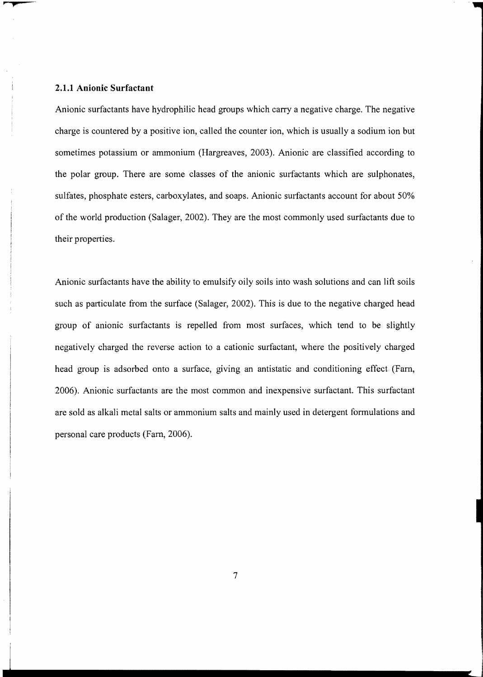## **2.1.1 Anionic Surfactant**

Anionic surfactants have hydrophilic head groups which carry a negative charge. The negative charge is countered by a positive ion, called the counter ion, which is usually a sodium ion but sometimes potassium or ammonium (Hargreaves, 2003). Anionic are classified according to the polar group. There are some classes of the anionic surfactants which are sulphonates, sulfates, phosphate esters, carboxylates, and soaps. Anionic surfactants account for about 50% of the world production (Salager, 2002). They are the most commonly used surfactants due to their properties.

Anionic surfactants have the ability to emulsify oily soils into wash solutions and can lift soils such as particulate from the surface (Salager, 2002). This is due to the negative charged head group of anionic surfactants is repelled from most surfaces, which tend to be slightly negatively charged the reverse action to a cationic surfactant, where the positively charged head group is adsorbed onto a surface, giving an antistatic and conditioning effect (Fam, 2006). Anionic surfactants are the most common and inexpensive surfactant. This surfactant are sold as alkali metal salts or ammonium salts and mainly used in detergent formulations and personal care products (Fam, 2006).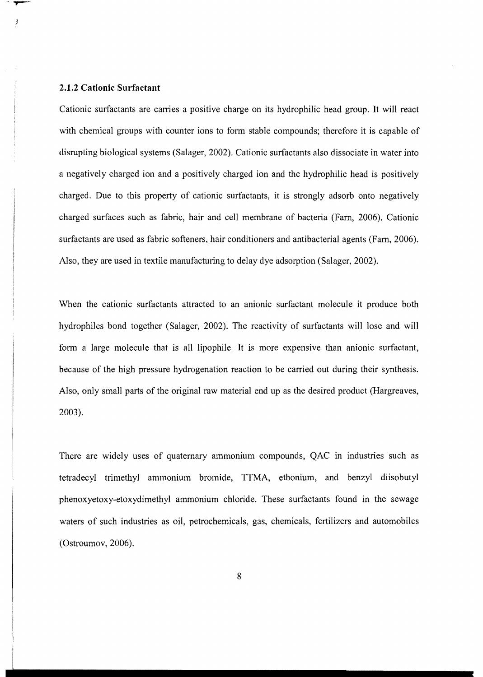#### **2.1.2 Cationic Surfactant**

Cationic surfactants are carries a positive charge on its hydrophilic head group. It will react with chemical groups with counter ions to form stable compounds; therefore it is capable of disrupting biological systems (Salager, 2002). Cationic surfactants also dissociate in water into a negatively charged ion and a positively charged ion and the hydrophilic head is positively charged. Due to this property of cationic surfactants, it is strongly adsorb onto negatively charged surfaces such as fabric, hair and cell membrane of bacteria (Farn, 2006). Cationic surfactants are used as fabric softeners, hair conditioners and antibacterial agents (Farn, 2006). Also, they are used in textile manufacturing to delay dye adsorption (Salager, 2002).

When the cationic surfactants attracted to an anionic surfactant molecule it produce both hydrophiles bond together (Salager, 2002). The reactivity of surfactants will lose and will form a large molecule that is all lipophile. It is more expensive than anionic surfactant, because of the high pressure hydrogenation reaction to be carried out during their synthesis. Also, only small parts of the original raw material end up as the desired product (Hargreaves, 2003).

There are widely uses of quaternary ammonium compounds, QAC in industries such as tetradecyl trimethyl ammonium bromide, TTMA, ethonium, and benzyl diisobutyl phenoxyetoxy-etoxydimethyl ammonium chloride. These surfactants found in the sewage waters of such industries as oil, petrochemicals, gas, chemicals, fertilizers and automobiles (Ostroumov, 2006).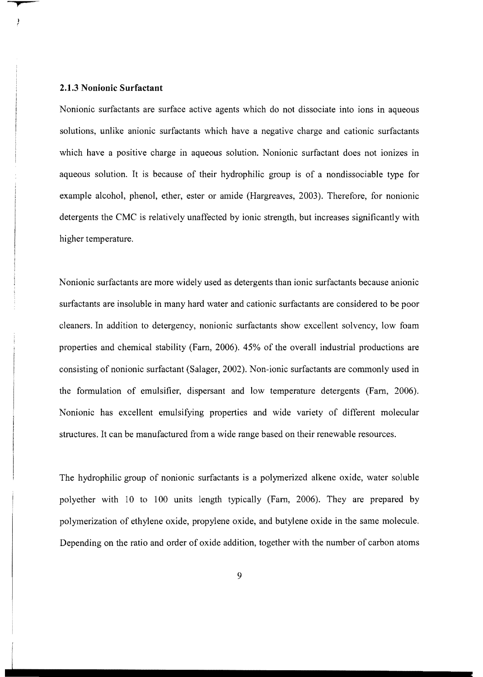#### **2.1.3 Nonionic Surfactant**

Nonionic surfactants are surface active agents which do not dissociate into ions in aqueous solutions, unlike anionic surfactants which have a negative charge and cationic surfactants which have a positive charge in aqueous solution. Nonionic surfactant does not ionizes in aqueous solution. It is because of their hydrophilic group is of a nondissociable type for example alcohol, phenol, ether, ester or amide (Hargreaves, 2003). Therefore, for nonionic detergents the CMC is relatively unaffected by ionic strength, but increases significantly with higher temperature.

Nonionic surfactants are more widely used as detergents than ionic surfactants because anionic surfactants are insoluble in many hard water and cationic surfactants are considered to be poor cleaners. In addition to detergency, nonionic surfactants show excellent solvency, low foam properties and chemical stability (Fam, 2006). 45% of the overall industrial productions are consisting of nonionic surfactant (Salager, 2002). Non-ionic surfactants are commonly used in the formulation of emulsifier, dispersant and low temperature detergents (Fam, 2006). Nonionic has excellent emulsifying properties and wide variety of different molecular structures. It can be manufactured from a wide range based on their renewable resources.

The hydrophilic group of nonionic surfactants is a polymerized alkene oxide, water soluble polyether with 10 to 100 units length typically (Fam, 2006). They are prepared by polymerization of ethylene oxide, propylene oxide, and butylene oxide in the same molecule. Depending on the ratio and order of oxide addition, together with the number of carbon atoms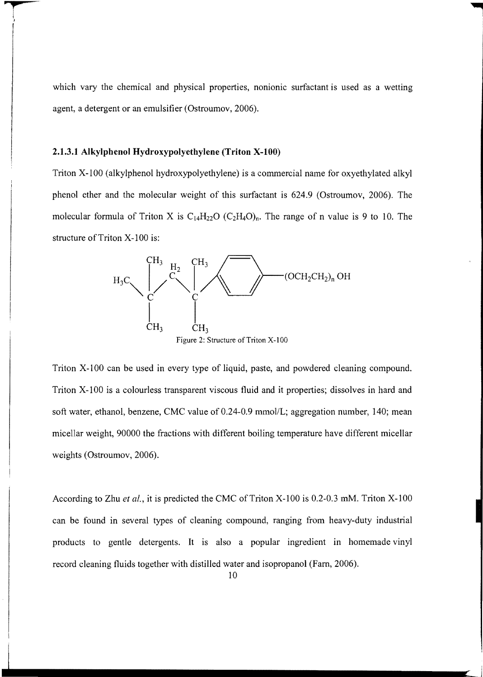which vary the chemical and physical properties, nonionic surfactant is used as a wetting agent, a detergent or an emulsifier (Ostroumov, 2006).

#### **2.1.3.1 Alkylphenol Hydroxypolyethylene (Triton x-tOO)**

Triton X-IOO (alkylphenol hydroxypolyethylene) is a commercial name for oxyethylated alkyl phenol ether and the molecular weight of this surfactant is 624.9 (Ostroumov, 2006). The molecular formula of Triton X is  $C_{14}H_{22}O(C_2H_4O)$ <sub>n</sub>. The range of n value is 9 to 10. The structure of Triton X-100 is:



Triton X-IOO can be used in every type of liquid, paste, and powdered cleaning compound. Triton X-IOO is a colourless transparent viscous fluid and it properties; dissolves in hard and soft water, ethanol, benzene, CMC value of 0.24-0.9 mmol/L; aggregation number, 140; mean micellar weight, 90000 the fractions with different boiling temperature have different micellar weights (Ostroumov, 2006).

According to Zhu *et al.,* it is predicted the CMC of Triton X-100 is 0.2-0.3 mM. Triton X-100 can be found in several types of cleaning compound, ranging from heavy-duty industrial products to gentle detergents. It is also a popular ingredient in homemade vinyl record cleaning fluids together with distilled water and isopropanol (Fam, 2006).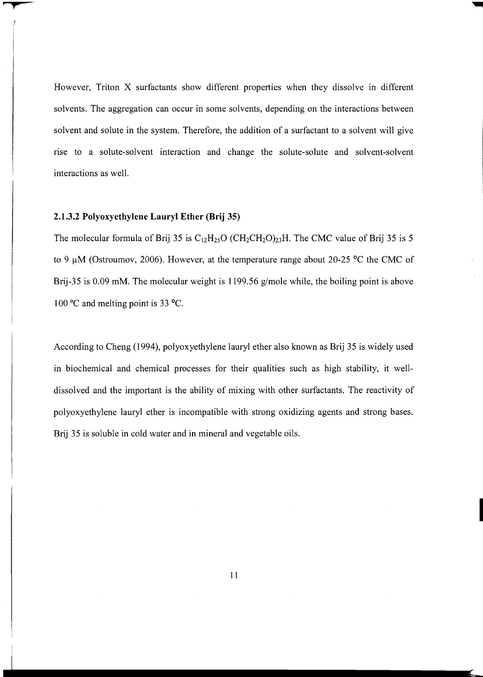However, Triton X surfactants show different properties when they dissolve in different solvents. The aggregation can occur in some solvents, depending on the interactions between solvent and solute in the system. Therefore, the addition of a surfactant to a solvent will give rise to a solute-solvent interaction and change the solute-solute and solvent-solvent interactions as well.

#### 2.1.3.2 Polyoxyethylene **Lauryl Ether (Brij** 35)

The molecular formula of Brij 35 is  $C_{12}H_{25}O$  (CH<sub>2</sub>CH<sub>2</sub>O)<sub>23</sub>H. The CMC value of Brij 35 is 5 to 9  $\mu$ M (Ostroumov, 2006). However, at the temperature range about 20-25 °C the CMC of Brij-35 is 0.09 mM. The molecular weight is 1199.56 g/mole while, the boiling point is above 100°C and melting point is 33°C.

According to Cheng (1994), polyoxyethylene lauryl ether also known as Brij 35 is widely used in biochemical and chemical processes for their qualities such as high stability, it welldissolved and the important is the ability of mixing with other surfactants. The reactivity of polyoxyethylene lauryl ether is incompatible with strong oxidizing agents and strong bases. Brij 35 is soluble in cold water and in mineral and vegetable oils.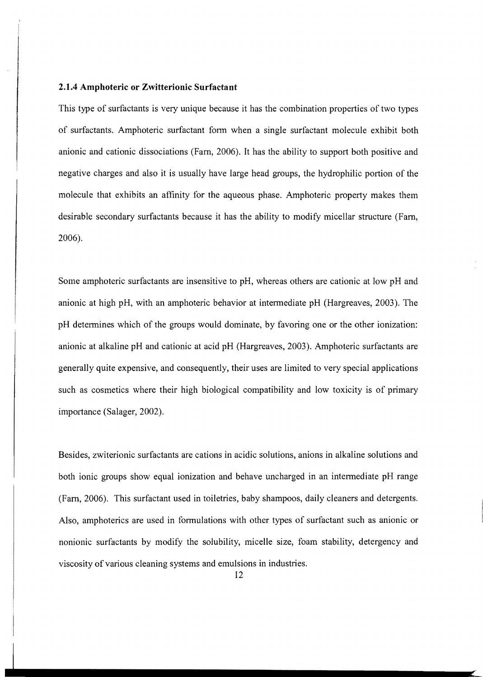#### **2.1.4 Amphoteric or Zwitterionic Surfactant**

This type of surfactants is very unique because it has the combination properties of two types of surfactants. Amphoteric surfactant form when a single surfactant molecule exhibit both anionic and cationic dissociations (Fam, 2006). It has the ability to support both positive and negative charges and also it is usually have large head groups, the hydrophilic portion of the molecule that exhibits an affinity for the aqueous phase. Amphoteric property makes them desirable secondary surfactants because it has the ability to modify micellar structure (Fam, 2006).

Some amphoteric surfactants are insensitive to pH, whereas others are cationic at low pH and anionic at high pH, with an amphoteric behavior at intermediate pH (Hargreaves, 2003). The pH determines which of the groups would dominate, by favoring one or the other ionization: anionic at alkaline pH and cationic at acid pH (Hargreaves, 2003). Amphoteric surfactants are generally quite expensive, and consequently, their uses are limited to very special applications such as cosmetics where their high biological compatibility and low toxicity is of primary importance (Salager, 2002).

Besides, zwiterionic surfactants are cations in acidic solutions, anions in alkaline solutions and both ionic groups show equal ionization and behave uncharged in an intermediate pH range (Fam, 2006). This surfactant used in toiletries, baby shampoos, daily cleaners and detergents. Also, amphoterics are used in formulations with other types of surfactant such as anionic or nonionic surfactants by modify the solubility, micelle size, foam stability, detergency and viscosity of various cleaning systems and emulsions in industries.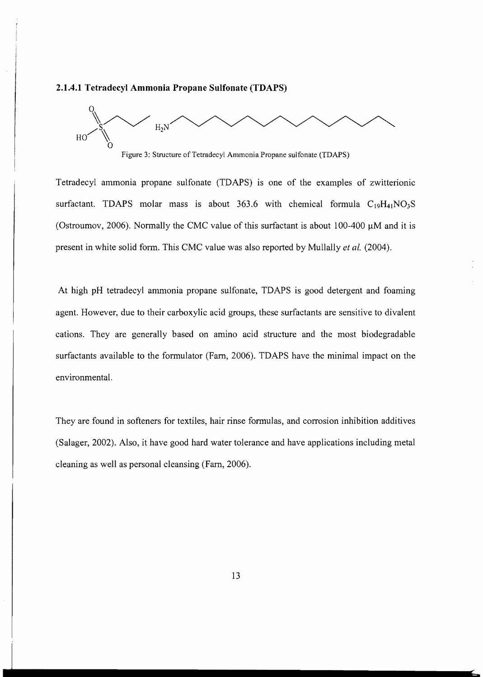# **2.1.4.1 Tetradecyl Ammonia Propane Sulfonate (TDAPS)**



Figure 3: Structure of Tetradecyl Ammonia Propane sulfonate (TDAPS)

Tetradecyl ammonia propane sulfonate (TDAPS) is one of the examples of zwitterionic surfactant. TDAPS molar mass is about 363.6 with chemical formula  $C_{19}H_{41}NO_3S$ (Ostroumov, 2006). Normally the CMC value of this surfactant is about 100-400  $\mu$ M and it is present in white solid form. This CMC value was also reported by Mullally *et al. (2004).* 

At high pH tetradecyl ammonia propane sulfonate, TDAPS is good detergent and foaming agent. However, due to their carboxylic acid groups, these surfactants are sensitive to divalent cations. They are generally based on amino acid structure and the most biodegradable surfactants available to the formulator (Fam, 2006). TDAPS have the minimal impact on the environmental.

They are found in softeners for textiles, hair rinse formulas, and corrosion inhibition additives (Salager, 2002). Also, it have good hard water tolerance and have applications including metal cleaning as well as personal cleansing (Fam, 2006).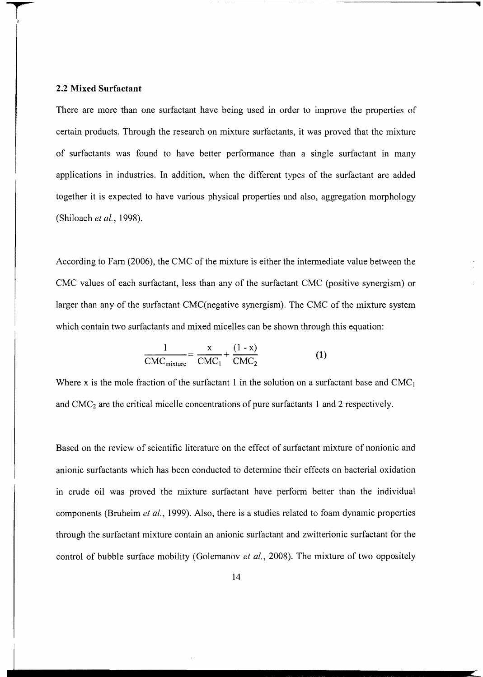#### **2.2 Mixed Surfactant**

There are more than one surfactant have being used in order to improve the properties of certain products. Through the research on mixture surfactants, it was proved that the mixture of surfactants was found to have better performance than a single surfactant in many applications in industries. In addition, when the different types of the surfactant are added together it is expected to have various physical properties and also, aggregation morphology (Shiloach *et ai.,* 1998).

According to Farn (2006), the CMC of the mixture is either the intermediate value between the CMC values of each surfactant, less than any of the surfactant CMC (positive synergism) or larger than any of the surfactant CMC(negative synergism). The CMC of the mixture system which contain two surfactants and mixed micelles can be shown through this equation:

$$
\frac{1}{\text{CMC}_{\text{mixture}}} = \frac{x}{\text{CMC}_1} + \frac{(1 - x)}{\text{CMC}_2}
$$
 (1)

Where x is the mole fraction of the surfactant 1 in the solution on a surfactant base and  $CMC<sub>1</sub>$ and CMC2 are the critical micelle concentrations of pure surfactants 1 and 2 respectively.

Based on the review of scientific literature on the effect of surfactant mixture of nonionic and anionic surfactants which has been conducted to determine their effects on bacterial oxidation in crude oil was proved the mixture surfactant have perform better than the individual components (Bruheim *et al.,* 1999). Also, there is a studies related to foam dynamic properties through the surfactant mixture contain an anionic surfactant and zwitterionic surfactant for the control of bubble surface mobility (Golemanov *et ai.,* 2008). The mixture of two oppositely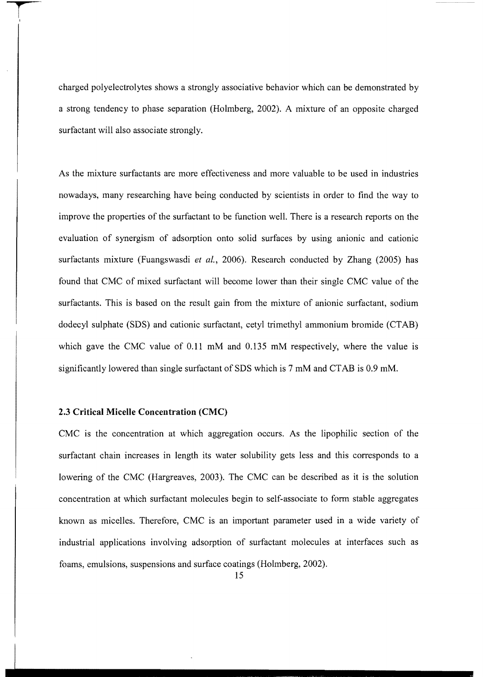charged polyelectrolytes shows a strongly associative behavior which can be demonstrated by a strong tendency to phase separation (Holmberg, 2002). A mixture of an opposite charged surfactant will also associate strongly.

As the mixture surfactants are more effectiveness and more valuable to be used in industries nowadays, many researching have being conducted by scientists in order to find the way to improve the properties of the surfactant to be function well. There is a research reports on the evaluation of synergism of adsorption onto solid surfaces by using anionic and cationic surfactants mixture (Fuangswasdi *et al.,* 2006). Research conducted by Zhang (2005) has found that CMC of mixed surfactant will become lower than their single CMC value of the surfactants. This is based on the result gain from the mixture of anionic surfactant, sodium dodecyl sulphate (SDS) and cationic surfactant, cetyl trimethyl ammonium bromide (CTAB) which gave the CMC value of 0.11 mM and 0.135 mM respectively, where the value is significantly lowered than single surfactant of SDS which is 7 mM and CTAB is 0.9 mM.

## **2.3 Critical Micelle Concentration (CMC)**

CMC is the concentration at which aggregation occurs. As the lipophilic section of the surfactant chain increases in length its water solubility gets less and this corresponds to a lowering of the CMC (Hargreaves, 2003). The CMC can be described as it is the solution concentration at which surfactant molecules begin to self-associate to form stable aggregates known as micelles. Therefore, CMC is an important parameter used in a wide variety of industrial applications involving adsorption of surfactant molecules at interfaces such as foams, emulsions, suspensions and surface coatings (Holmberg, 2002).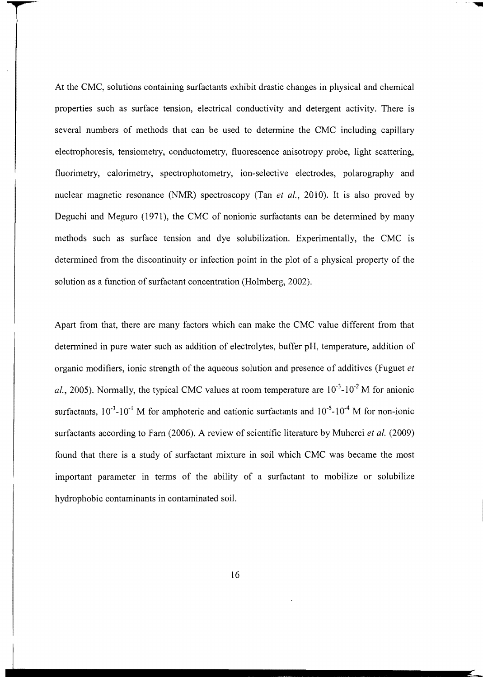At the CMC, solutions containing surfactants exhibit drastic changes in physical and chemical properties such as surface tension, electrical conductivity and detergent activity. There is several numbers of methods that can be used to determine the CMC including capillary electrophoresis, tensiometry, conductometry, fluorescence anisotropy probe, light scattering, fluorimetry, calorimetry, spectrophotometry, ion-selective electrodes, polarography and nuclear magnetic resonance (NMR) spectroscopy (Tan *et al.,* 2010). It is also proved by Deguchi and Meguro (1971), the CMC of nonionic surfactants can be determined by many methods such as surface tension and dye solubilization. Experimentally, the CMC is determined from the discontinuity or infection point in the plot of a physical property of the solution as a function of surfactant concentration (Holmberg, 2002).

Apart from that, there are many factors which can make the CMC value different from that determined in pure water such as addition of electrolytes, buffer pH, temperature, addition of organic modifiers, ionic strength of the aqueous solution and presence of additives (Fuguet *et*  al., 2005). Normally, the typical CMC values at room temperature are  $10^{-3}$ - $10^{-2}$  M for anionic surfactants,  $10^{-3}$ - $10^{-1}$  M for amphoteric and cationic surfactants and  $10^{-5}$ - $10^{-4}$  M for non-ionic surfactants according to Farm (2006). A review of scientific literature by Muherei *et al.* (2009) found that there is a study of surfactant mixture in soil which CMC was became the most important parameter in terms of the ability of a surfactant to mobilize or solubilize hydrophobic contaminants in contaminated soil.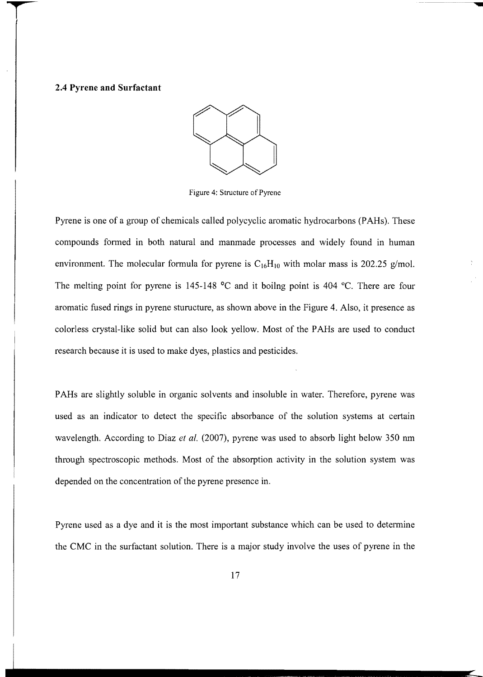#### **2.4 Pyrene and Surfactant**



Figure 4: Structure of Pyrene

Pyrene is one of a group of chemicals called polycyclic aromatic hydrocarbons (PAHs). These compounds fonned in both natural and manmade processes and widely found in human environment. The molecular formula for pyrene is  $C_{16}H_{10}$  with molar mass is 202.25 *g/mol.* The melting point for pyrene is 145-148 °C and it boilng point is 404 °C. There are four aromatic fused rings in pyrene sturucture, as shown above in the Figure 4. Also, it presence as colorless crystal-like solid but can also look yellow. Most of the PAHs are used to conduct research because it is used to make dyes, plastics and pesticides.

PAHs are slightly soluble in organic solvents and insoluble in water. Therefore, pyrene was used as an indicator to detect the specific absorbance of the solution systems at certain wavelength. According to Diaz *et al.* (2007), pyrene was used to absorb light below 350 nm through spectroscopic methods. Most of the absorption activity in the solution system was depended on the concentration of the pyrene presence in.

Pyrene used as a dye and it is the most important substance which can be used to detennine the CMC in the surfactant solution. There is a major study involve the uses of pyrene in the